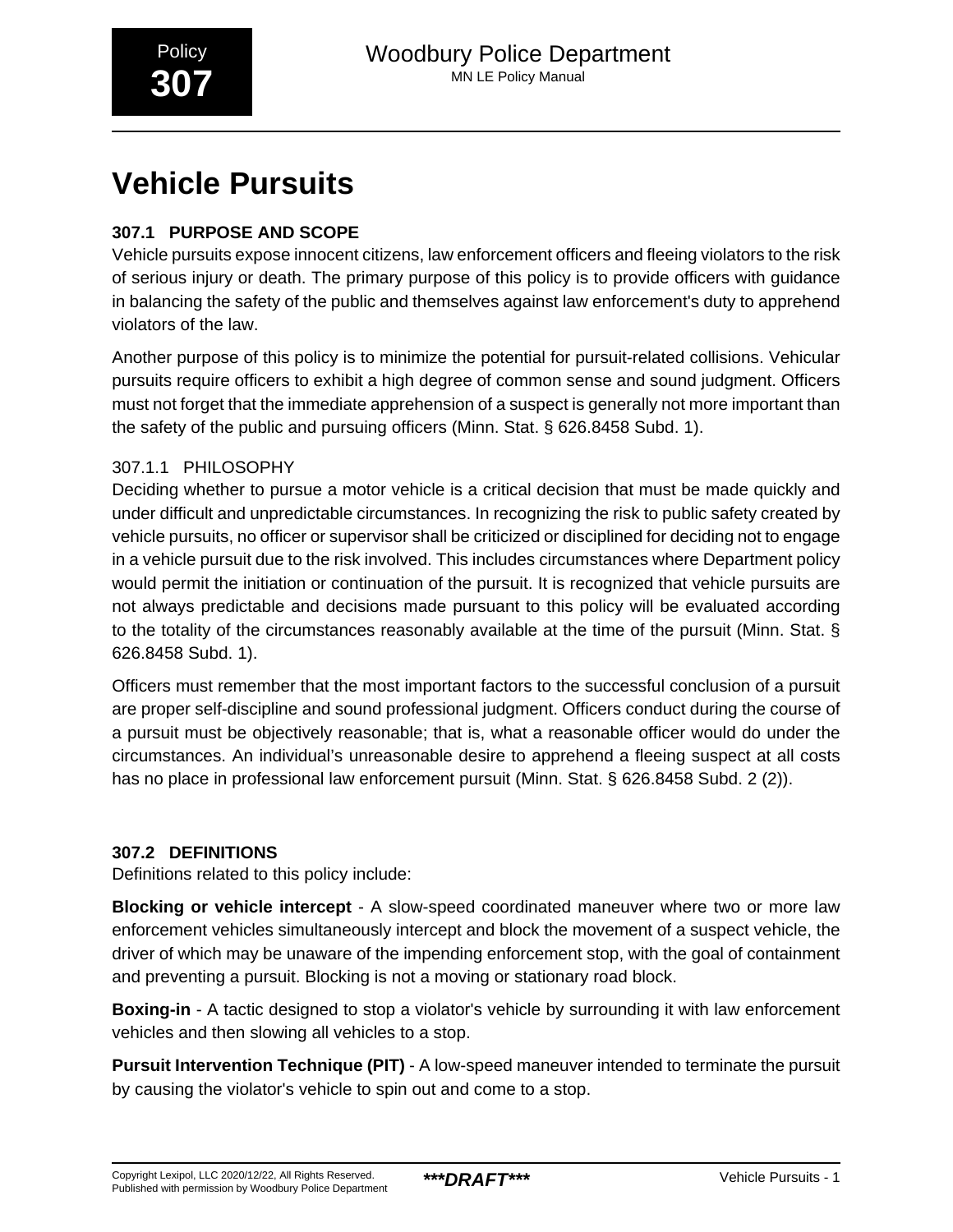# **Vehicle Pursuits**

# **307.1 PURPOSE AND SCOPE**

Vehicle pursuits expose innocent citizens, law enforcement officers and fleeing violators to the risk of serious injury or death. The primary purpose of this policy is to provide officers with guidance in balancing the safety of the public and themselves against law enforcement's duty to apprehend violators of the law.

Another purpose of this policy is to minimize the potential for pursuit-related collisions. Vehicular pursuits require officers to exhibit a high degree of common sense and sound judgment. Officers must not forget that the immediate apprehension of a suspect is generally not more important than the safety of the public and pursuing officers (Minn. Stat. § 626.8458 Subd. 1).

# 307.1.1 PHILOSOPHY

Deciding whether to pursue a motor vehicle is a critical decision that must be made quickly and under difficult and unpredictable circumstances. In recognizing the risk to public safety created by vehicle pursuits, no officer or supervisor shall be criticized or disciplined for deciding not to engage in a vehicle pursuit due to the risk involved. This includes circumstances where Department policy would permit the initiation or continuation of the pursuit. It is recognized that vehicle pursuits are not always predictable and decisions made pursuant to this policy will be evaluated according to the totality of the circumstances reasonably available at the time of the pursuit (Minn. Stat. § 626.8458 Subd. 1).

Officers must remember that the most important factors to the successful conclusion of a pursuit are proper self-discipline and sound professional judgment. Officers conduct during the course of a pursuit must be objectively reasonable; that is, what a reasonable officer would do under the circumstances. An individual's unreasonable desire to apprehend a fleeing suspect at all costs has no place in professional law enforcement pursuit (Minn. Stat. § 626.8458 Subd. 2 (2)).

# **307.2 DEFINITIONS**

Definitions related to this policy include:

**Blocking or vehicle intercept** - A slow-speed coordinated maneuver where two or more law enforcement vehicles simultaneously intercept and block the movement of a suspect vehicle, the driver of which may be unaware of the impending enforcement stop, with the goal of containment and preventing a pursuit. Blocking is not a moving or stationary road block.

**Boxing-in** - A tactic designed to stop a violator's vehicle by surrounding it with law enforcement vehicles and then slowing all vehicles to a stop.

**Pursuit Intervention Technique (PIT)** - A low-speed maneuver intended to terminate the pursuit by causing the violator's vehicle to spin out and come to a stop.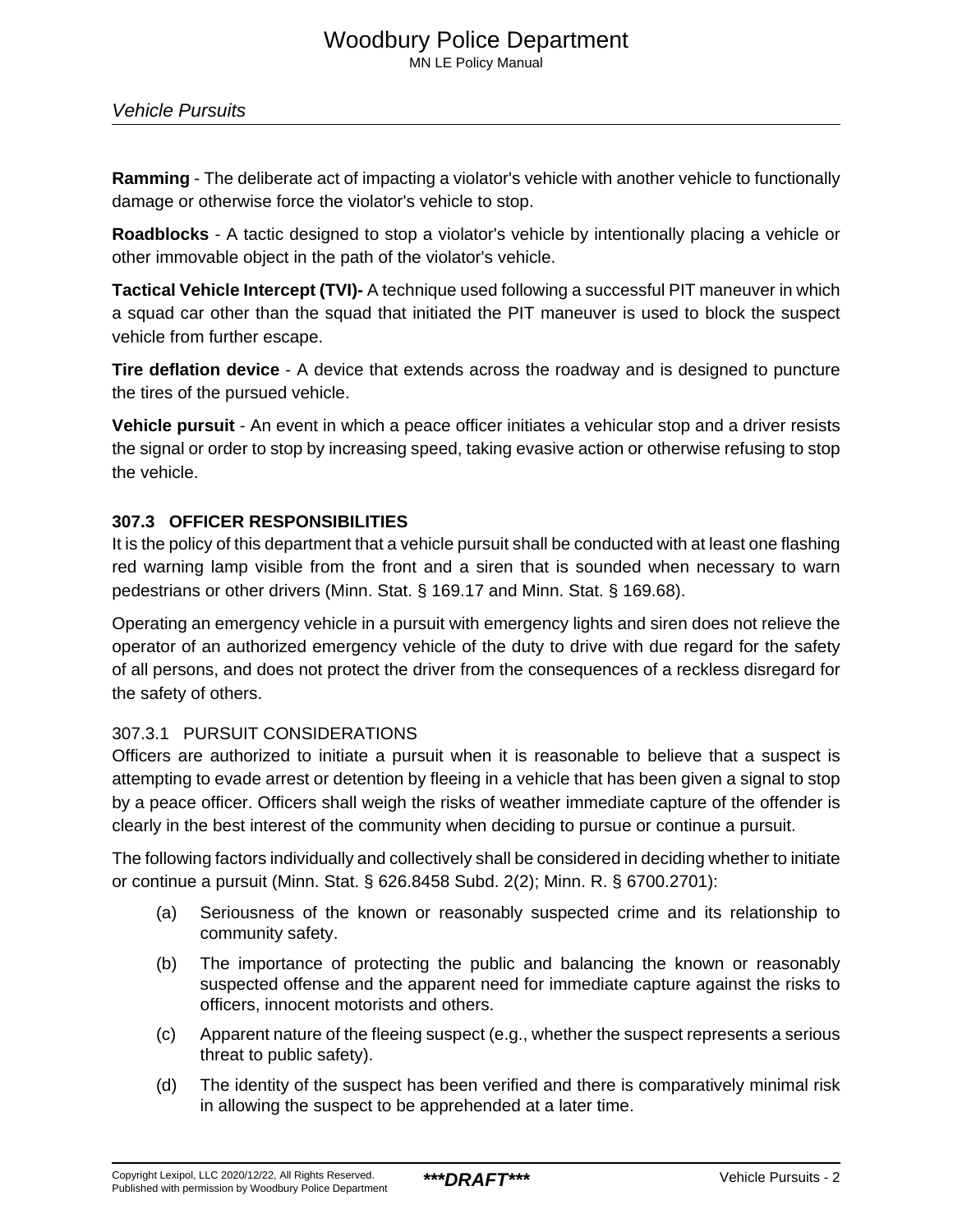**Ramming** - The deliberate act of impacting a violator's vehicle with another vehicle to functionally damage or otherwise force the violator's vehicle to stop.

**Roadblocks** - A tactic designed to stop a violator's vehicle by intentionally placing a vehicle or other immovable object in the path of the violator's vehicle.

**Tactical Vehicle Intercept (TVI)-** A technique used following a successful PIT maneuver in which a squad car other than the squad that initiated the PIT maneuver is used to block the suspect vehicle from further escape.

**Tire deflation device** - A device that extends across the roadway and is designed to puncture the tires of the pursued vehicle.

**Vehicle pursuit** - An event in which a peace officer initiates a vehicular stop and a driver resists the signal or order to stop by increasing speed, taking evasive action or otherwise refusing to stop the vehicle.

# **307.3 OFFICER RESPONSIBILITIES**

It is the policy of this department that a vehicle pursuit shall be conducted with at least one flashing red warning lamp visible from the front and a siren that is sounded when necessary to warn pedestrians or other drivers (Minn. Stat. § 169.17 and Minn. Stat. § 169.68).

Operating an emergency vehicle in a pursuit with emergency lights and siren does not relieve the operator of an authorized emergency vehicle of the duty to drive with due regard for the safety of all persons, and does not protect the driver from the consequences of a reckless disregard for the safety of others.

# 307.3.1 PURSUIT CONSIDERATIONS

Officers are authorized to initiate a pursuit when it is reasonable to believe that a suspect is attempting to evade arrest or detention by fleeing in a vehicle that has been given a signal to stop by a peace officer. Officers shall weigh the risks of weather immediate capture of the offender is clearly in the best interest of the community when deciding to pursue or continue a pursuit.

The following factors individually and collectively shall be considered in deciding whether to initiate or continue a pursuit (Minn. Stat. § 626.8458 Subd. 2(2); Minn. R. § 6700.2701):

- (a) Seriousness of the known or reasonably suspected crime and its relationship to community safety.
- (b) The importance of protecting the public and balancing the known or reasonably suspected offense and the apparent need for immediate capture against the risks to officers, innocent motorists and others.
- (c) Apparent nature of the fleeing suspect (e.g., whether the suspect represents a serious threat to public safety).
- (d) The identity of the suspect has been verified and there is comparatively minimal risk in allowing the suspect to be apprehended at a later time.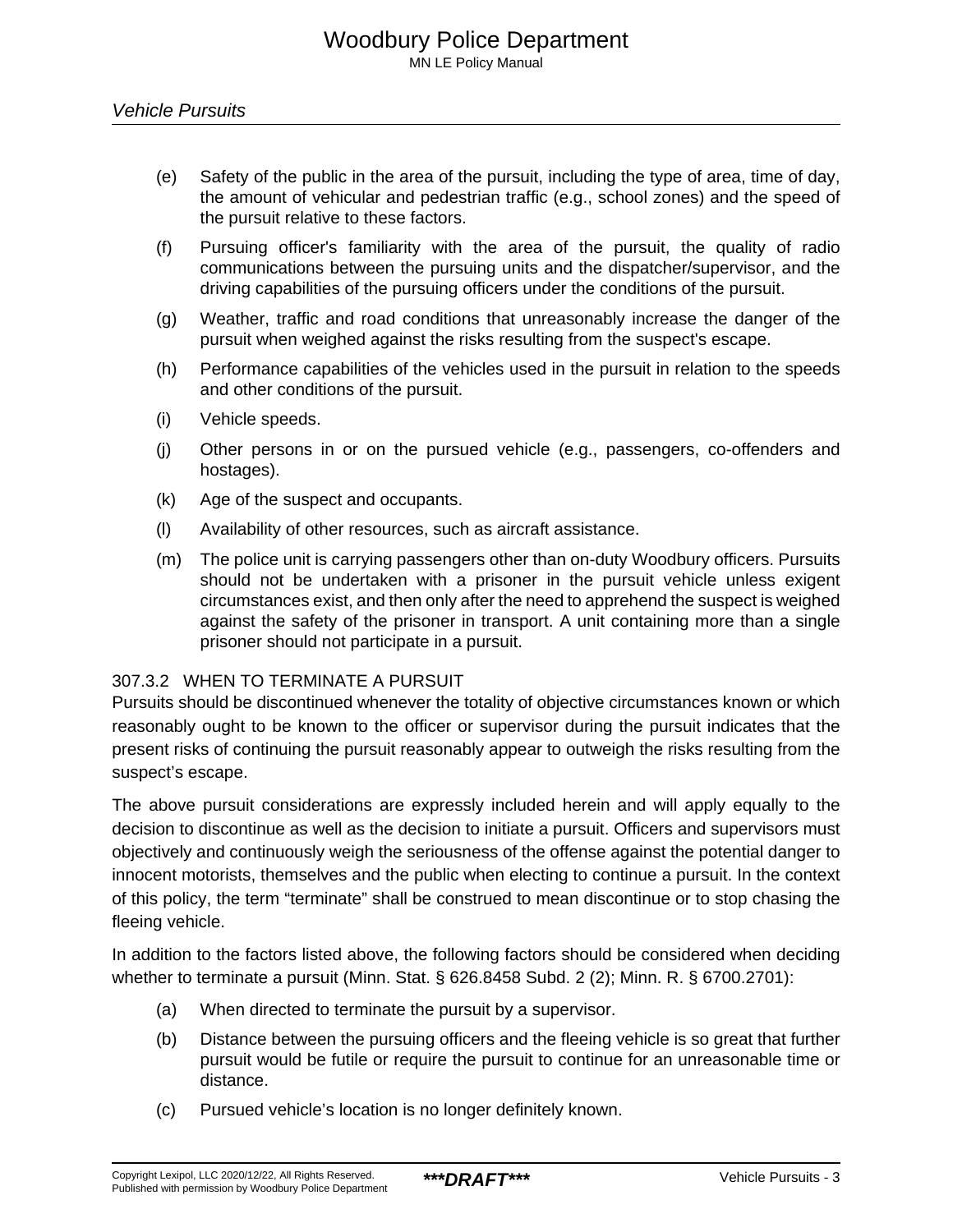- (e) Safety of the public in the area of the pursuit, including the type of area, time of day, the amount of vehicular and pedestrian traffic (e.g., school zones) and the speed of the pursuit relative to these factors.
- (f) Pursuing officer's familiarity with the area of the pursuit, the quality of radio communications between the pursuing units and the dispatcher/supervisor, and the driving capabilities of the pursuing officers under the conditions of the pursuit.
- (g) Weather, traffic and road conditions that unreasonably increase the danger of the pursuit when weighed against the risks resulting from the suspect's escape.
- (h) Performance capabilities of the vehicles used in the pursuit in relation to the speeds and other conditions of the pursuit.
- (i) Vehicle speeds.
- (j) Other persons in or on the pursued vehicle (e.g., passengers, co-offenders and hostages).
- (k) Age of the suspect and occupants.
- (l) Availability of other resources, such as aircraft assistance.
- (m) The police unit is carrying passengers other than on-duty Woodbury officers. Pursuits should not be undertaken with a prisoner in the pursuit vehicle unless exigent circumstances exist, and then only after the need to apprehend the suspect is weighed against the safety of the prisoner in transport. A unit containing more than a single prisoner should not participate in a pursuit.

## 307.3.2 WHEN TO TERMINATE A PURSUIT

Pursuits should be discontinued whenever the totality of objective circumstances known or which reasonably ought to be known to the officer or supervisor during the pursuit indicates that the present risks of continuing the pursuit reasonably appear to outweigh the risks resulting from the suspect's escape.

The above pursuit considerations are expressly included herein and will apply equally to the decision to discontinue as well as the decision to initiate a pursuit. Officers and supervisors must objectively and continuously weigh the seriousness of the offense against the potential danger to innocent motorists, themselves and the public when electing to continue a pursuit. In the context of this policy, the term "terminate" shall be construed to mean discontinue or to stop chasing the fleeing vehicle.

In addition to the factors listed above, the following factors should be considered when deciding whether to terminate a pursuit (Minn. Stat. § 626.8458 Subd. 2 (2); Minn. R. § 6700.2701):

- (a) When directed to terminate the pursuit by a supervisor.
- (b) Distance between the pursuing officers and the fleeing vehicle is so great that further pursuit would be futile or require the pursuit to continue for an unreasonable time or distance.
- (c) Pursued vehicle's location is no longer definitely known.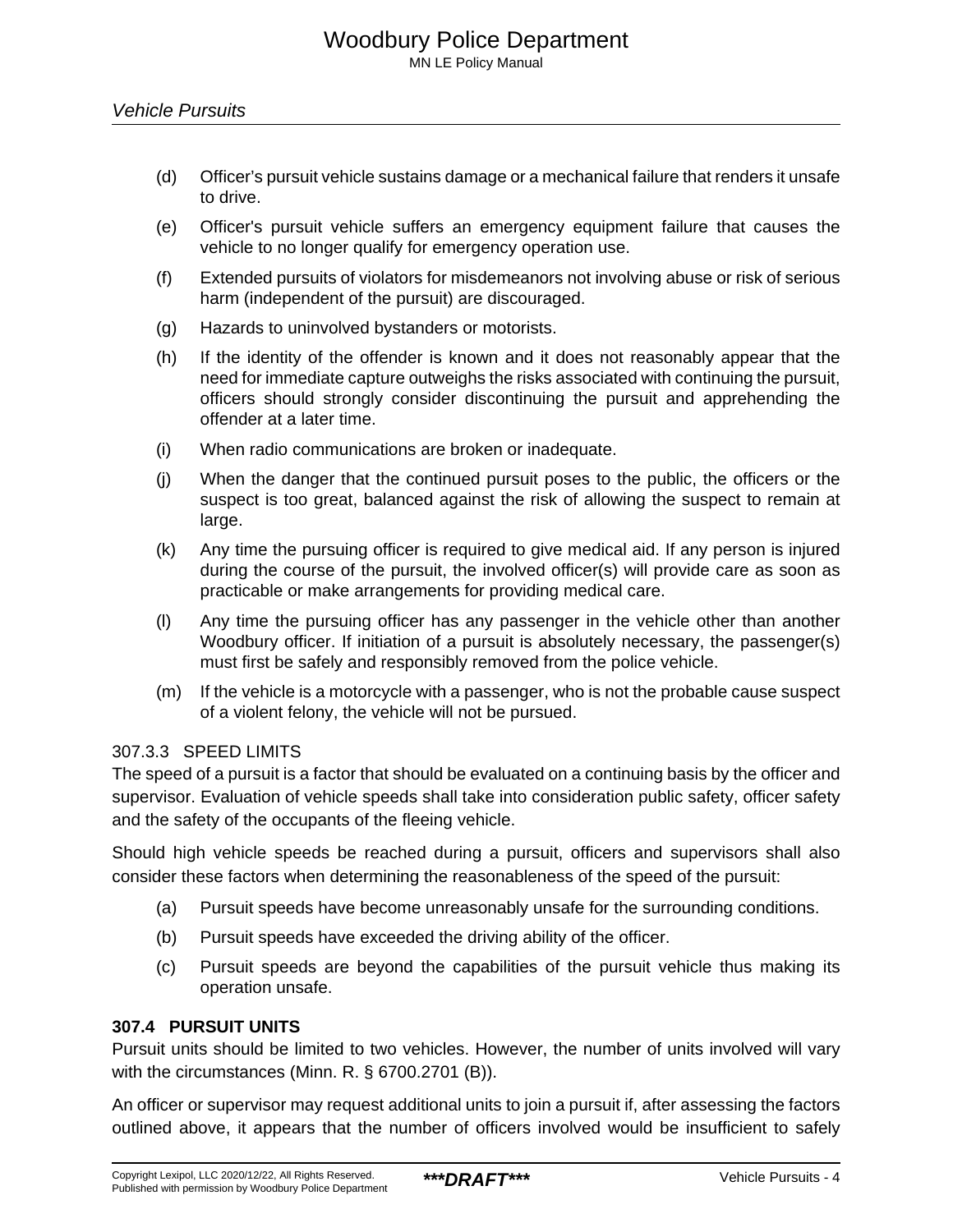- (d) Officer's pursuit vehicle sustains damage or a mechanical failure that renders it unsafe to drive.
- (e) Officer's pursuit vehicle suffers an emergency equipment failure that causes the vehicle to no longer qualify for emergency operation use.
- (f) Extended pursuits of violators for misdemeanors not involving abuse or risk of serious harm (independent of the pursuit) are discouraged.
- (g) Hazards to uninvolved bystanders or motorists.
- (h) If the identity of the offender is known and it does not reasonably appear that the need for immediate capture outweighs the risks associated with continuing the pursuit, officers should strongly consider discontinuing the pursuit and apprehending the offender at a later time.
- (i) When radio communications are broken or inadequate.
- (j) When the danger that the continued pursuit poses to the public, the officers or the suspect is too great, balanced against the risk of allowing the suspect to remain at large.
- (k) Any time the pursuing officer is required to give medical aid. If any person is injured during the course of the pursuit, the involved officer(s) will provide care as soon as practicable or make arrangements for providing medical care.
- (l) Any time the pursuing officer has any passenger in the vehicle other than another Woodbury officer. If initiation of a pursuit is absolutely necessary, the passenger(s) must first be safely and responsibly removed from the police vehicle.
- (m) If the vehicle is a motorcycle with a passenger, who is not the probable cause suspect of a violent felony, the vehicle will not be pursued.

## 307.3.3 SPEED LIMITS

The speed of a pursuit is a factor that should be evaluated on a continuing basis by the officer and supervisor. Evaluation of vehicle speeds shall take into consideration public safety, officer safety and the safety of the occupants of the fleeing vehicle.

Should high vehicle speeds be reached during a pursuit, officers and supervisors shall also consider these factors when determining the reasonableness of the speed of the pursuit:

- (a) Pursuit speeds have become unreasonably unsafe for the surrounding conditions.
- (b) Pursuit speeds have exceeded the driving ability of the officer.
- (c) Pursuit speeds are beyond the capabilities of the pursuit vehicle thus making its operation unsafe.

# **307.4 PURSUIT UNITS**

Pursuit units should be limited to two vehicles. However, the number of units involved will vary with the circumstances (Minn. R. § 6700.2701 (B)).

An officer or supervisor may request additional units to join a pursuit if, after assessing the factors outlined above, it appears that the number of officers involved would be insufficient to safely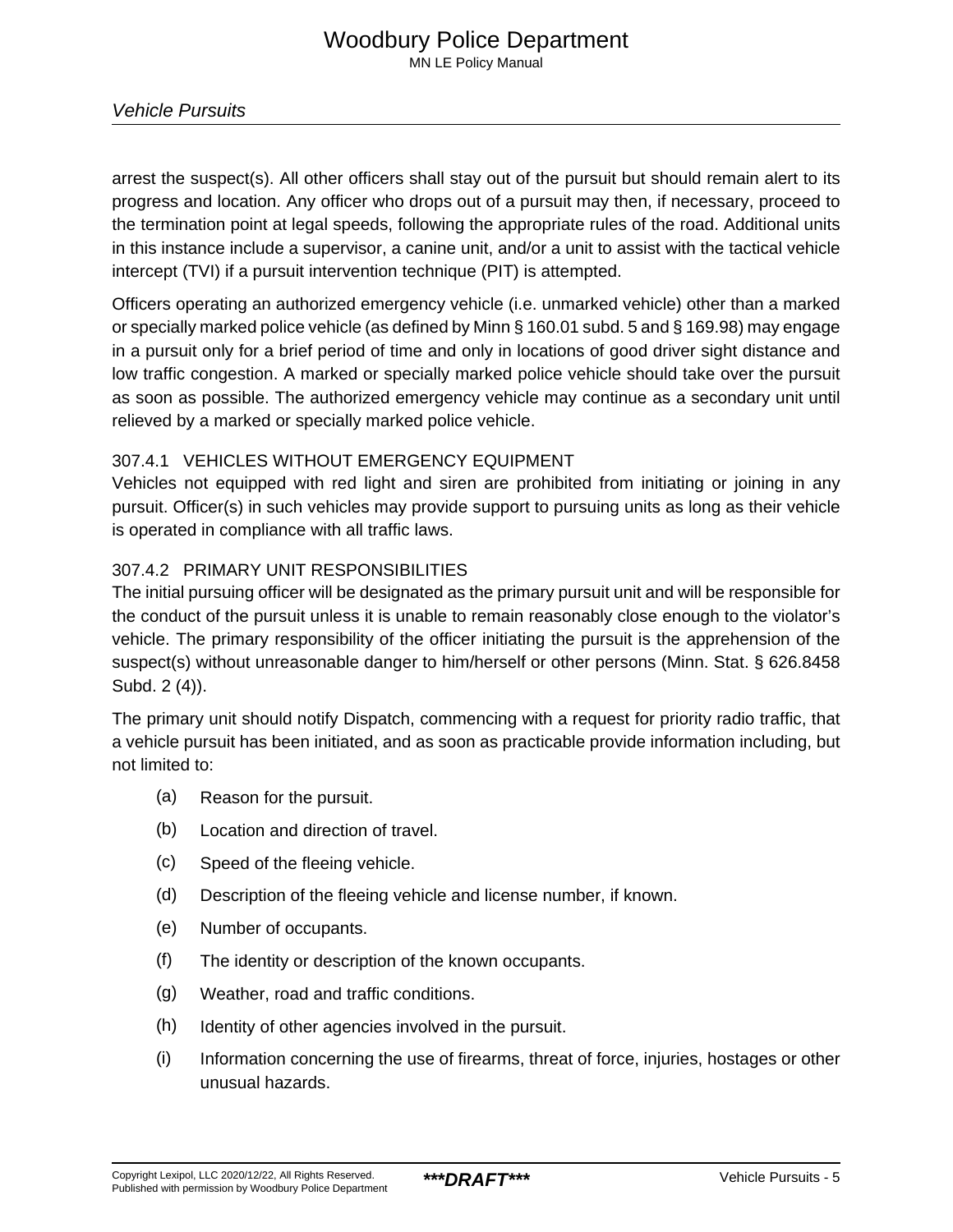arrest the suspect(s). All other officers shall stay out of the pursuit but should remain alert to its progress and location. Any officer who drops out of a pursuit may then, if necessary, proceed to the termination point at legal speeds, following the appropriate rules of the road. Additional units in this instance include a supervisor, a canine unit, and/or a unit to assist with the tactical vehicle intercept (TVI) if a pursuit intervention technique (PIT) is attempted.

Officers operating an authorized emergency vehicle (i.e. unmarked vehicle) other than a marked or specially marked police vehicle (as defined by Minn § 160.01 subd. 5 and § 169.98) may engage in a pursuit only for a brief period of time and only in locations of good driver sight distance and low traffic congestion. A marked or specially marked police vehicle should take over the pursuit as soon as possible. The authorized emergency vehicle may continue as a secondary unit until relieved by a marked or specially marked police vehicle.

# 307.4.1 VEHICLES WITHOUT EMERGENCY EQUIPMENT

Vehicles not equipped with red light and siren are prohibited from initiating or joining in any pursuit. Officer(s) in such vehicles may provide support to pursuing units as long as their vehicle is operated in compliance with all traffic laws.

# 307.4.2 PRIMARY UNIT RESPONSIBILITIES

The initial pursuing officer will be designated as the primary pursuit unit and will be responsible for the conduct of the pursuit unless it is unable to remain reasonably close enough to the violator's vehicle. The primary responsibility of the officer initiating the pursuit is the apprehension of the suspect(s) without unreasonable danger to him/herself or other persons (Minn. Stat. § 626.8458 Subd. 2 (4)).

The primary unit should notify Dispatch, commencing with a request for priority radio traffic, that a vehicle pursuit has been initiated, and as soon as practicable provide information including, but not limited to:

- (a) Reason for the pursuit.
- (b) Location and direction of travel.
- (c) Speed of the fleeing vehicle.
- (d) Description of the fleeing vehicle and license number, if known.
- (e) Number of occupants.
- (f) The identity or description of the known occupants.
- (g) Weather, road and traffic conditions.
- (h) Identity of other agencies involved in the pursuit.
- (i) Information concerning the use of firearms, threat of force, injuries, hostages or other unusual hazards.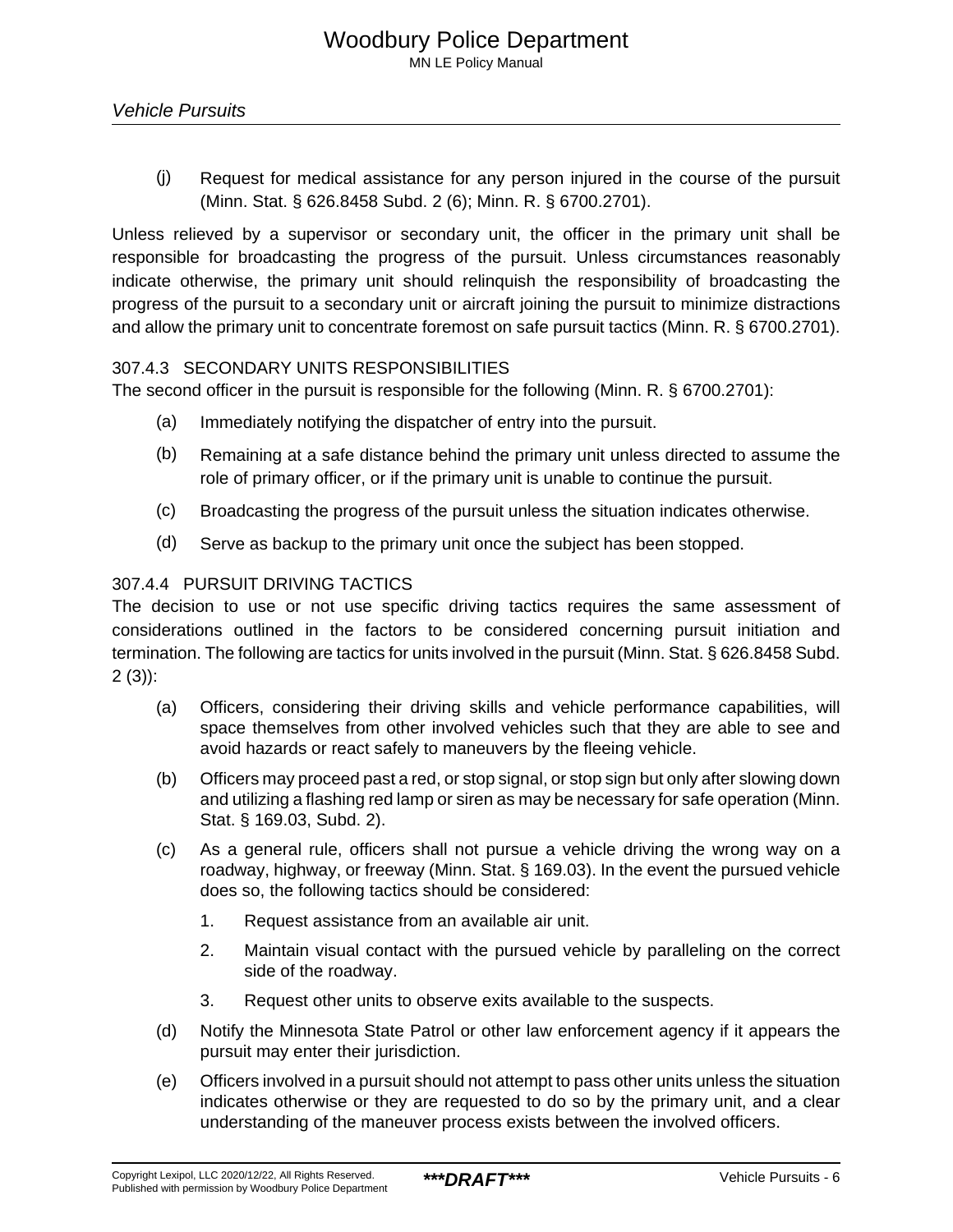(j) Request for medical assistance for any person injured in the course of the pursuit (Minn. Stat. § 626.8458 Subd. 2 (6); Minn. R. § 6700.2701).

Unless relieved by a supervisor or secondary unit, the officer in the primary unit shall be responsible for broadcasting the progress of the pursuit. Unless circumstances reasonably indicate otherwise, the primary unit should relinquish the responsibility of broadcasting the progress of the pursuit to a secondary unit or aircraft joining the pursuit to minimize distractions and allow the primary unit to concentrate foremost on safe pursuit tactics (Minn. R. § 6700.2701).

## 307.4.3 SECONDARY UNITS RESPONSIBILITIES

The second officer in the pursuit is responsible for the following (Minn. R. § 6700.2701):

- (a) Immediately notifying the dispatcher of entry into the pursuit.
- (b) Remaining at a safe distance behind the primary unit unless directed to assume the role of primary officer, or if the primary unit is unable to continue the pursuit.
- (c) Broadcasting the progress of the pursuit unless the situation indicates otherwise.
- (d) Serve as backup to the primary unit once the subject has been stopped.

## 307.4.4 PURSUIT DRIVING TACTICS

The decision to use or not use specific driving tactics requires the same assessment of considerations outlined in the factors to be considered concerning pursuit initiation and termination. The following are tactics for units involved in the pursuit (Minn. Stat. § 626.8458 Subd.  $2(3)$ :

- (a) Officers, considering their driving skills and vehicle performance capabilities, will space themselves from other involved vehicles such that they are able to see and avoid hazards or react safely to maneuvers by the fleeing vehicle.
- (b) Officers may proceed past a red, or stop signal, or stop sign but only after slowing down and utilizing a flashing red lamp or siren as may be necessary for safe operation (Minn. Stat. § 169.03, Subd. 2).
- (c) As a general rule, officers shall not pursue a vehicle driving the wrong way on a roadway, highway, or freeway (Minn. Stat. § 169.03). In the event the pursued vehicle does so, the following tactics should be considered:
	- 1. Request assistance from an available air unit.
	- 2. Maintain visual contact with the pursued vehicle by paralleling on the correct side of the roadway.
	- 3. Request other units to observe exits available to the suspects.
- (d) Notify the Minnesota State Patrol or other law enforcement agency if it appears the pursuit may enter their jurisdiction.
- (e) Officers involved in a pursuit should not attempt to pass other units unless the situation indicates otherwise or they are requested to do so by the primary unit, and a clear understanding of the maneuver process exists between the involved officers.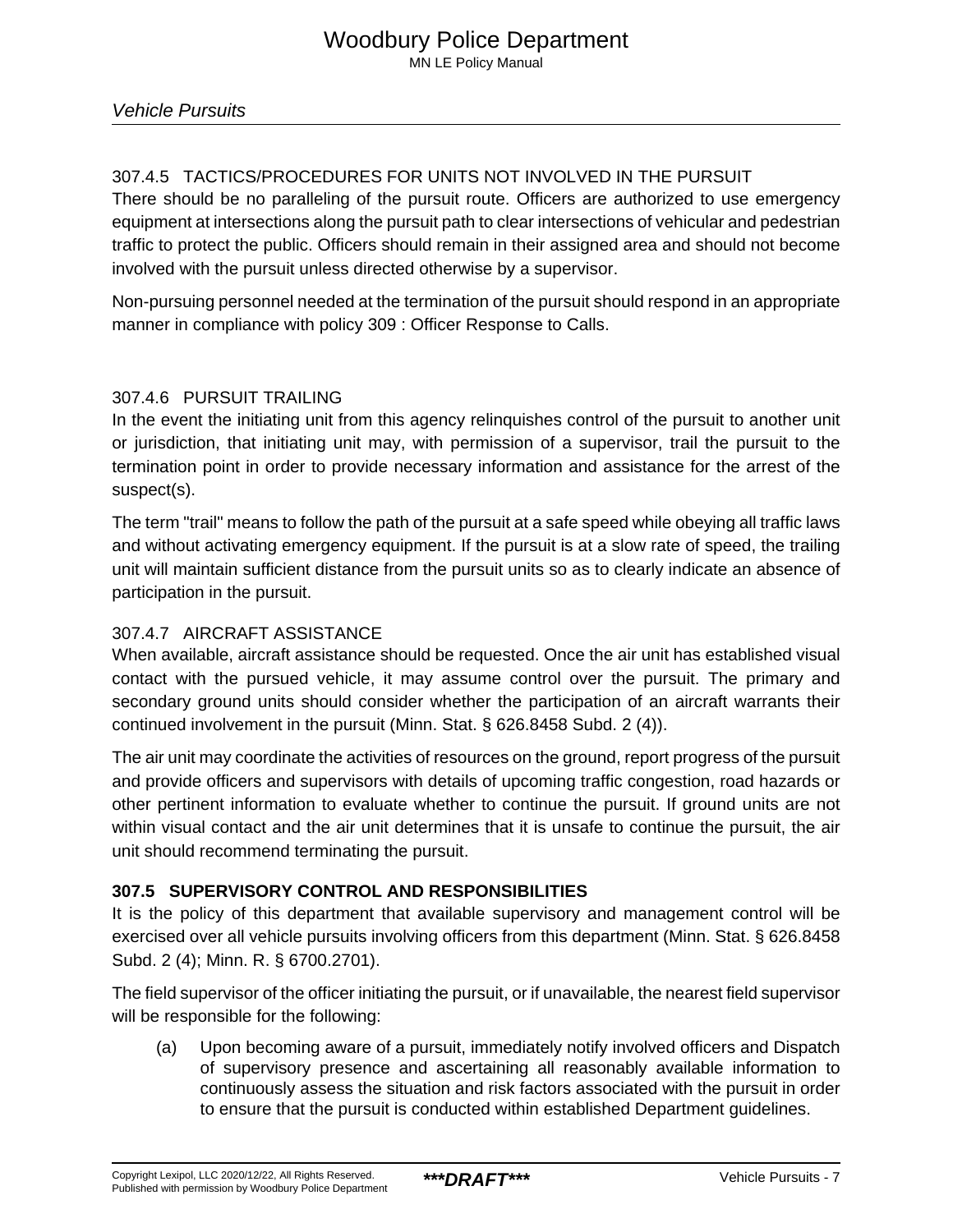# 307.4.5 TACTICS/PROCEDURES FOR UNITS NOT INVOLVED IN THE PURSUIT

There should be no paralleling of the pursuit route. Officers are authorized to use emergency equipment at intersections along the pursuit path to clear intersections of vehicular and pedestrian traffic to protect the public. Officers should remain in their assigned area and should not become involved with the pursuit unless directed otherwise by a supervisor.

Non-pursuing personnel needed at the termination of the pursuit should respond in an appropriate manner in compliance with policy 309 : Officer Response to Calls.

# 307.4.6 PURSUIT TRAILING

In the event the initiating unit from this agency relinquishes control of the pursuit to another unit or jurisdiction, that initiating unit may, with permission of a supervisor, trail the pursuit to the termination point in order to provide necessary information and assistance for the arrest of the suspect(s).

The term "trail" means to follow the path of the pursuit at a safe speed while obeying all traffic laws and without activating emergency equipment. If the pursuit is at a slow rate of speed, the trailing unit will maintain sufficient distance from the pursuit units so as to clearly indicate an absence of participation in the pursuit.

# 307.4.7 AIRCRAFT ASSISTANCE

When available, aircraft assistance should be requested. Once the air unit has established visual contact with the pursued vehicle, it may assume control over the pursuit. The primary and secondary ground units should consider whether the participation of an aircraft warrants their continued involvement in the pursuit (Minn. Stat. § 626.8458 Subd. 2 (4)).

The air unit may coordinate the activities of resources on the ground, report progress of the pursuit and provide officers and supervisors with details of upcoming traffic congestion, road hazards or other pertinent information to evaluate whether to continue the pursuit. If ground units are not within visual contact and the air unit determines that it is unsafe to continue the pursuit, the air unit should recommend terminating the pursuit.

# **307.5 SUPERVISORY CONTROL AND RESPONSIBILITIES**

It is the policy of this department that available supervisory and management control will be exercised over all vehicle pursuits involving officers from this department (Minn. Stat. § 626.8458 Subd. 2 (4); Minn. R. § 6700.2701).

The field supervisor of the officer initiating the pursuit, or if unavailable, the nearest field supervisor will be responsible for the following:

(a) Upon becoming aware of a pursuit, immediately notify involved officers and Dispatch of supervisory presence and ascertaining all reasonably available information to continuously assess the situation and risk factors associated with the pursuit in order to ensure that the pursuit is conducted within established Department guidelines.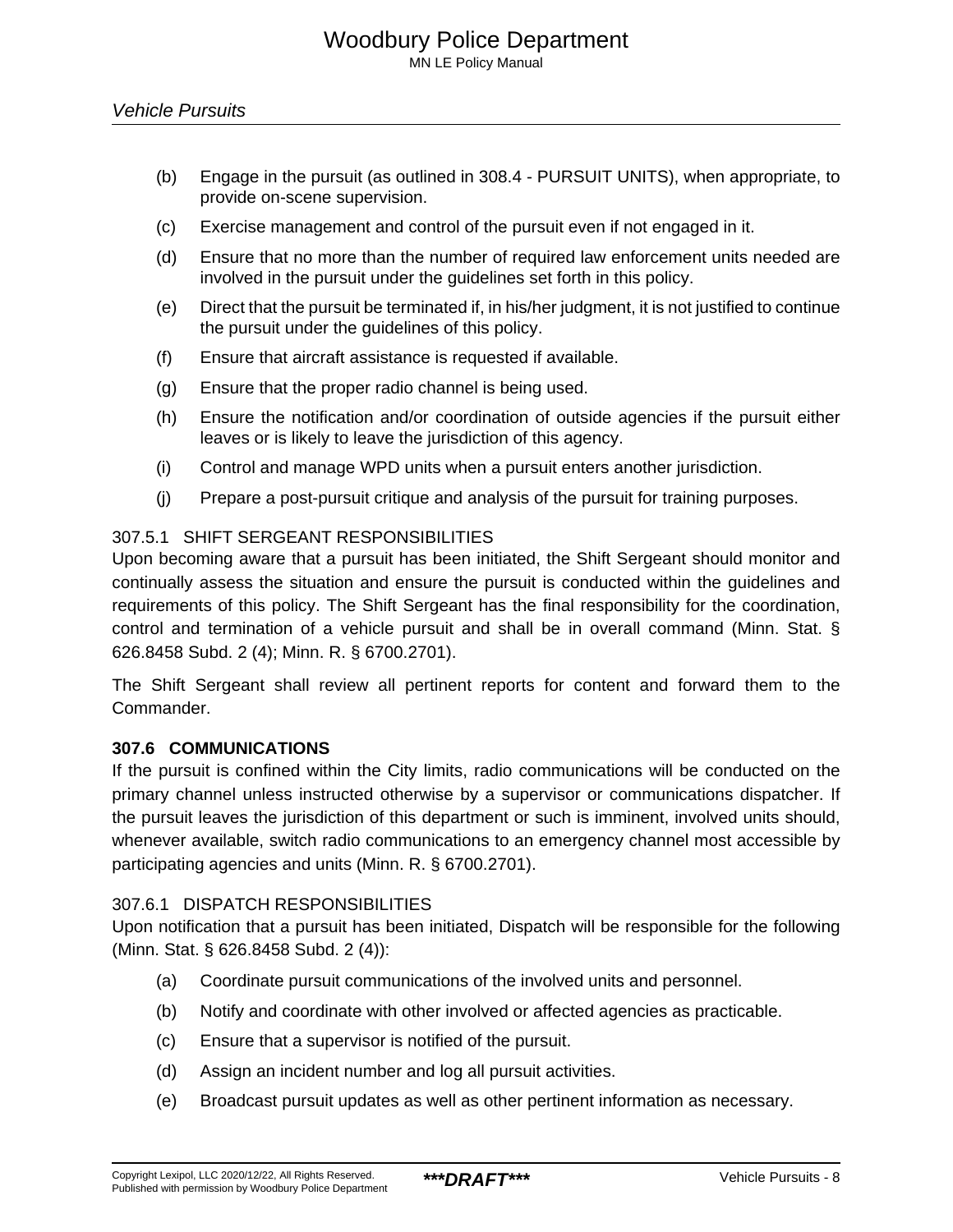- (b) Engage in the pursuit (as outlined in 308.4 PURSUIT UNITS), when appropriate, to provide on-scene supervision.
- (c) Exercise management and control of the pursuit even if not engaged in it.
- (d) Ensure that no more than the number of required law enforcement units needed are involved in the pursuit under the guidelines set forth in this policy.
- (e) Direct that the pursuit be terminated if, in his/her judgment, it is not justified to continue the pursuit under the guidelines of this policy.
- (f) Ensure that aircraft assistance is requested if available.
- (g) Ensure that the proper radio channel is being used.
- (h) Ensure the notification and/or coordination of outside agencies if the pursuit either leaves or is likely to leave the jurisdiction of this agency.
- (i) Control and manage WPD units when a pursuit enters another jurisdiction.
- (j) Prepare a post-pursuit critique and analysis of the pursuit for training purposes.

#### 307.5.1 SHIFT SERGEANT RESPONSIBILITIES

Upon becoming aware that a pursuit has been initiated, the Shift Sergeant should monitor and continually assess the situation and ensure the pursuit is conducted within the guidelines and requirements of this policy. The Shift Sergeant has the final responsibility for the coordination, control and termination of a vehicle pursuit and shall be in overall command (Minn. Stat. § 626.8458 Subd. 2 (4); Minn. R. § 6700.2701).

The Shift Sergeant shall review all pertinent reports for content and forward them to the Commander.

#### **307.6 COMMUNICATIONS**

If the pursuit is confined within the City limits, radio communications will be conducted on the primary channel unless instructed otherwise by a supervisor or communications dispatcher. If the pursuit leaves the jurisdiction of this department or such is imminent, involved units should, whenever available, switch radio communications to an emergency channel most accessible by participating agencies and units (Minn. R. § 6700.2701).

#### 307.6.1 DISPATCH RESPONSIBILITIES

Upon notification that a pursuit has been initiated, Dispatch will be responsible for the following (Minn. Stat. § 626.8458 Subd. 2 (4)):

- (a) Coordinate pursuit communications of the involved units and personnel.
- (b) Notify and coordinate with other involved or affected agencies as practicable.
- (c) Ensure that a supervisor is notified of the pursuit.
- (d) Assign an incident number and log all pursuit activities.
- (e) Broadcast pursuit updates as well as other pertinent information as necessary.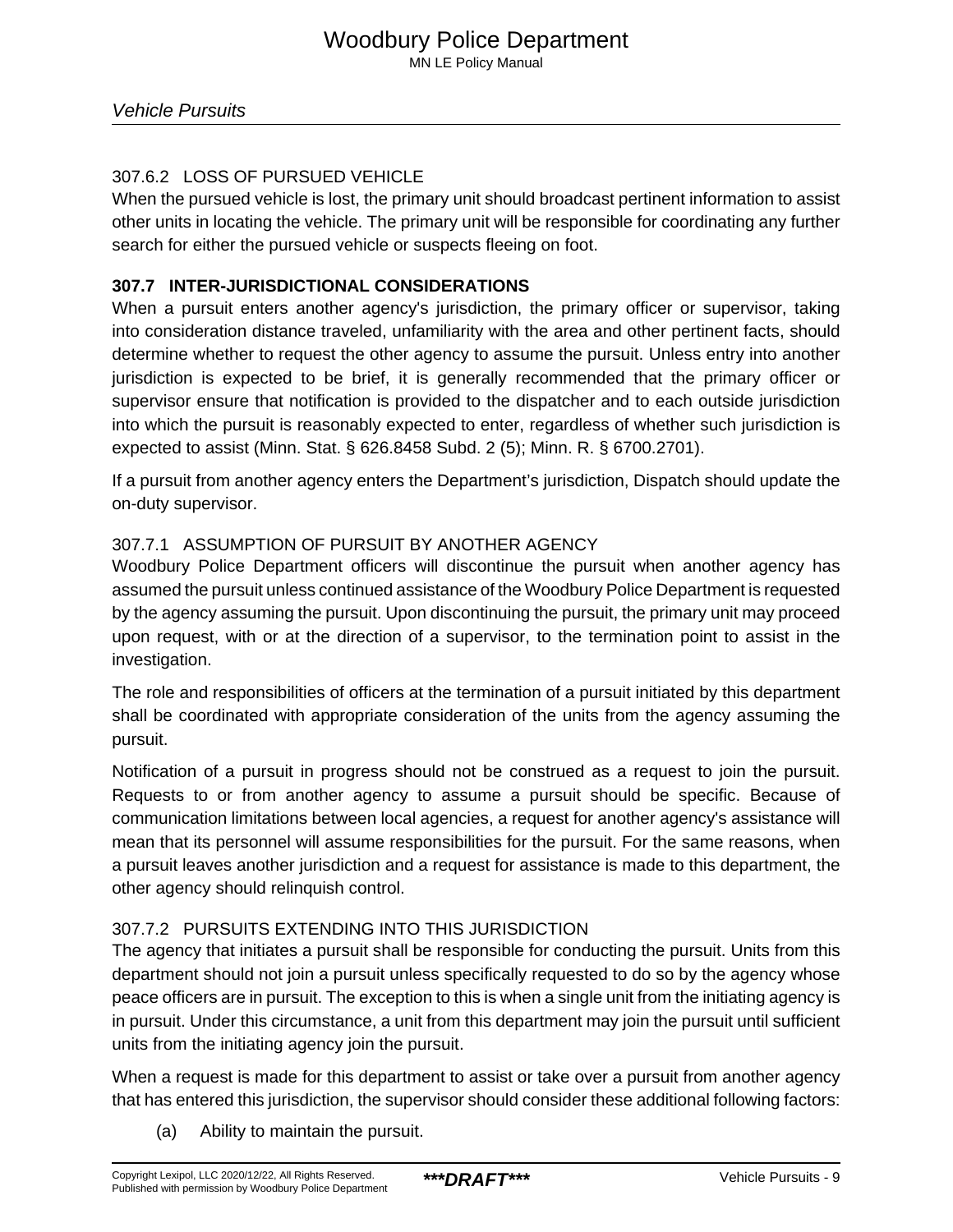# 307.6.2 LOSS OF PURSUED VEHICLE

When the pursued vehicle is lost, the primary unit should broadcast pertinent information to assist other units in locating the vehicle. The primary unit will be responsible for coordinating any further search for either the pursued vehicle or suspects fleeing on foot.

# **307.7 INTER-JURISDICTIONAL CONSIDERATIONS**

When a pursuit enters another agency's jurisdiction, the primary officer or supervisor, taking into consideration distance traveled, unfamiliarity with the area and other pertinent facts, should determine whether to request the other agency to assume the pursuit. Unless entry into another jurisdiction is expected to be brief, it is generally recommended that the primary officer or supervisor ensure that notification is provided to the dispatcher and to each outside jurisdiction into which the pursuit is reasonably expected to enter, regardless of whether such jurisdiction is expected to assist (Minn. Stat. § 626.8458 Subd. 2 (5); Minn. R. § 6700.2701).

If a pursuit from another agency enters the Department's jurisdiction, Dispatch should update the on-duty supervisor.

# 307.7.1 ASSUMPTION OF PURSUIT BY ANOTHER AGENCY

Woodbury Police Department officers will discontinue the pursuit when another agency has assumed the pursuit unless continued assistance of the Woodbury Police Department is requested by the agency assuming the pursuit. Upon discontinuing the pursuit, the primary unit may proceed upon request, with or at the direction of a supervisor, to the termination point to assist in the investigation.

The role and responsibilities of officers at the termination of a pursuit initiated by this department shall be coordinated with appropriate consideration of the units from the agency assuming the pursuit.

Notification of a pursuit in progress should not be construed as a request to join the pursuit. Requests to or from another agency to assume a pursuit should be specific. Because of communication limitations between local agencies, a request for another agency's assistance will mean that its personnel will assume responsibilities for the pursuit. For the same reasons, when a pursuit leaves another jurisdiction and a request for assistance is made to this department, the other agency should relinquish control.

# 307.7.2 PURSUITS EXTENDING INTO THIS JURISDICTION

The agency that initiates a pursuit shall be responsible for conducting the pursuit. Units from this department should not join a pursuit unless specifically requested to do so by the agency whose peace officers are in pursuit. The exception to this is when a single unit from the initiating agency is in pursuit. Under this circumstance, a unit from this department may join the pursuit until sufficient units from the initiating agency join the pursuit.

When a request is made for this department to assist or take over a pursuit from another agency that has entered this jurisdiction, the supervisor should consider these additional following factors:

(a) Ability to maintain the pursuit.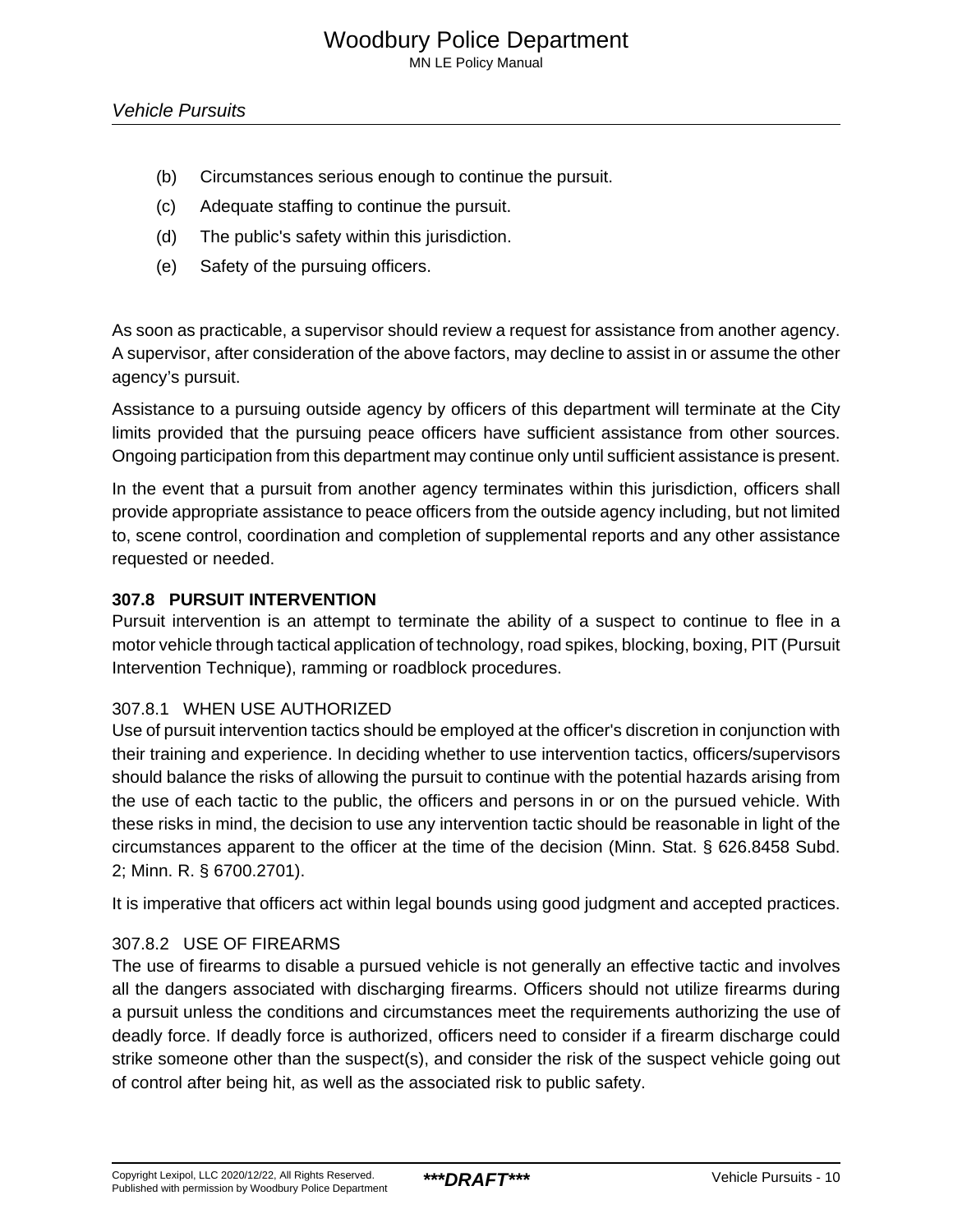MN LE Policy Manual

- (b) Circumstances serious enough to continue the pursuit.
- (c) Adequate staffing to continue the pursuit.
- (d) The public's safety within this jurisdiction.
- (e) Safety of the pursuing officers.

As soon as practicable, a supervisor should review a request for assistance from another agency. A supervisor, after consideration of the above factors, may decline to assist in or assume the other agency's pursuit.

Assistance to a pursuing outside agency by officers of this department will terminate at the City limits provided that the pursuing peace officers have sufficient assistance from other sources. Ongoing participation from this department may continue only until sufficient assistance is present.

In the event that a pursuit from another agency terminates within this jurisdiction, officers shall provide appropriate assistance to peace officers from the outside agency including, but not limited to, scene control, coordination and completion of supplemental reports and any other assistance requested or needed.

## **307.8 PURSUIT INTERVENTION**

Pursuit intervention is an attempt to terminate the ability of a suspect to continue to flee in a motor vehicle through tactical application of technology, road spikes, blocking, boxing, PIT (Pursuit Intervention Technique), ramming or roadblock procedures.

## 307.8.1 WHEN USE AUTHORIZED

Use of pursuit intervention tactics should be employed at the officer's discretion in conjunction with their training and experience. In deciding whether to use intervention tactics, officers/supervisors should balance the risks of allowing the pursuit to continue with the potential hazards arising from the use of each tactic to the public, the officers and persons in or on the pursued vehicle. With these risks in mind, the decision to use any intervention tactic should be reasonable in light of the circumstances apparent to the officer at the time of the decision (Minn. Stat. § 626.8458 Subd. 2; Minn. R. § 6700.2701).

It is imperative that officers act within legal bounds using good judgment and accepted practices.

## 307.8.2 USE OF FIREARMS

The use of firearms to disable a pursued vehicle is not generally an effective tactic and involves all the dangers associated with discharging firearms. Officers should not utilize firearms during a pursuit unless the conditions and circumstances meet the requirements authorizing the use of deadly force. If deadly force is authorized, officers need to consider if a firearm discharge could strike someone other than the suspect(s), and consider the risk of the suspect vehicle going out of control after being hit, as well as the associated risk to public safety.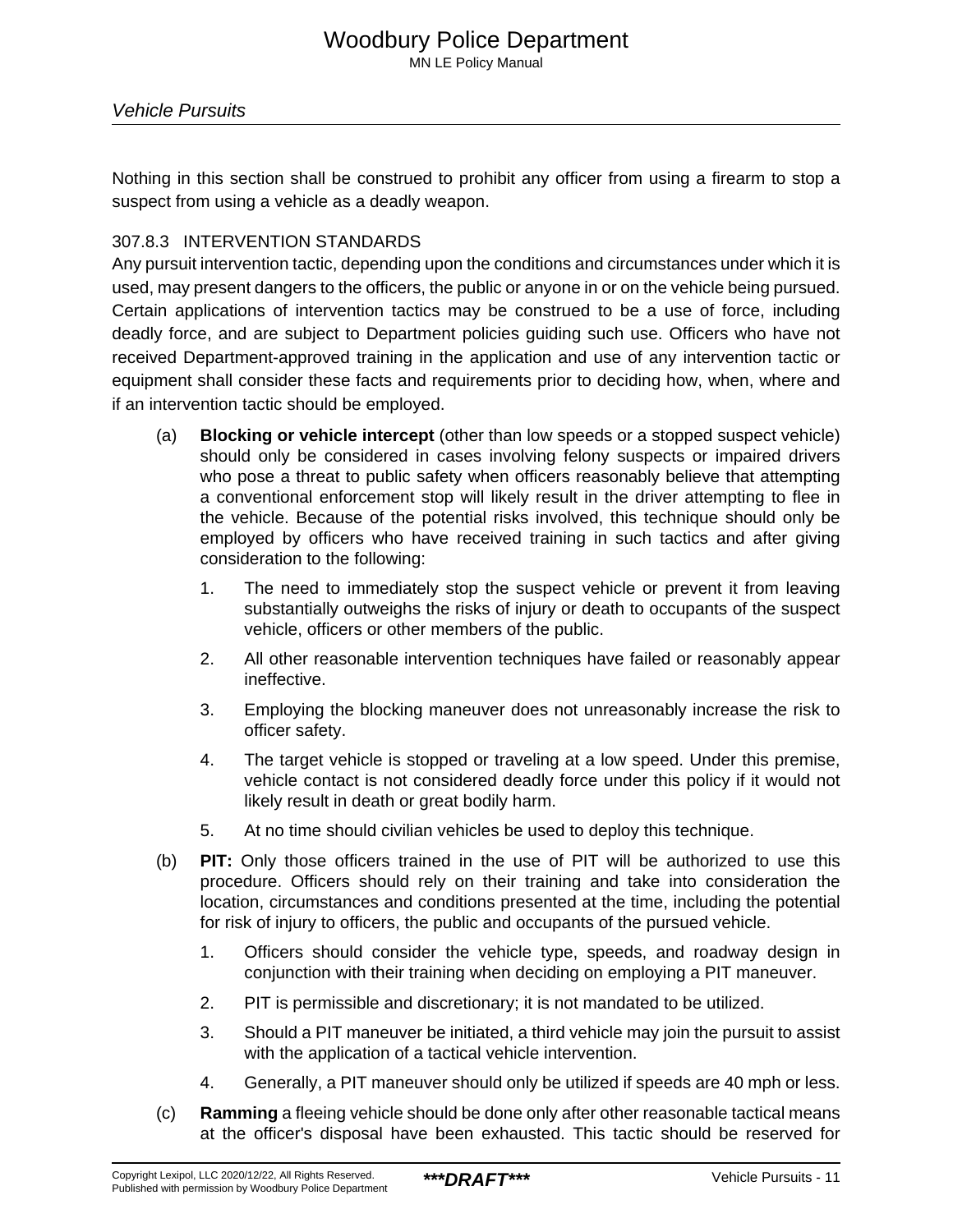Nothing in this section shall be construed to prohibit any officer from using a firearm to stop a suspect from using a vehicle as a deadly weapon.

# 307.8.3 INTERVENTION STANDARDS

Any pursuit intervention tactic, depending upon the conditions and circumstances under which it is used, may present dangers to the officers, the public or anyone in or on the vehicle being pursued. Certain applications of intervention tactics may be construed to be a use of force, including deadly force, and are subject to Department policies guiding such use. Officers who have not received Department-approved training in the application and use of any intervention tactic or equipment shall consider these facts and requirements prior to deciding how, when, where and if an intervention tactic should be employed.

- (a) **Blocking or vehicle intercept** (other than low speeds or a stopped suspect vehicle) should only be considered in cases involving felony suspects or impaired drivers who pose a threat to public safety when officers reasonably believe that attempting a conventional enforcement stop will likely result in the driver attempting to flee in the vehicle. Because of the potential risks involved, this technique should only be employed by officers who have received training in such tactics and after giving consideration to the following:
	- 1. The need to immediately stop the suspect vehicle or prevent it from leaving substantially outweighs the risks of injury or death to occupants of the suspect vehicle, officers or other members of the public.
	- 2. All other reasonable intervention techniques have failed or reasonably appear ineffective.
	- 3. Employing the blocking maneuver does not unreasonably increase the risk to officer safety.
	- 4. The target vehicle is stopped or traveling at a low speed. Under this premise, vehicle contact is not considered deadly force under this policy if it would not likely result in death or great bodily harm.
	- 5. At no time should civilian vehicles be used to deploy this technique.
- (b) **PIT:** Only those officers trained in the use of PIT will be authorized to use this procedure. Officers should rely on their training and take into consideration the location, circumstances and conditions presented at the time, including the potential for risk of injury to officers, the public and occupants of the pursued vehicle.
	- 1. Officers should consider the vehicle type, speeds, and roadway design in conjunction with their training when deciding on employing a PIT maneuver.
	- 2. PIT is permissible and discretionary; it is not mandated to be utilized.
	- 3. Should a PIT maneuver be initiated, a third vehicle may join the pursuit to assist with the application of a tactical vehicle intervention.
	- 4. Generally, a PIT maneuver should only be utilized if speeds are 40 mph or less.
- (c) **Ramming** a fleeing vehicle should be done only after other reasonable tactical means at the officer's disposal have been exhausted. This tactic should be reserved for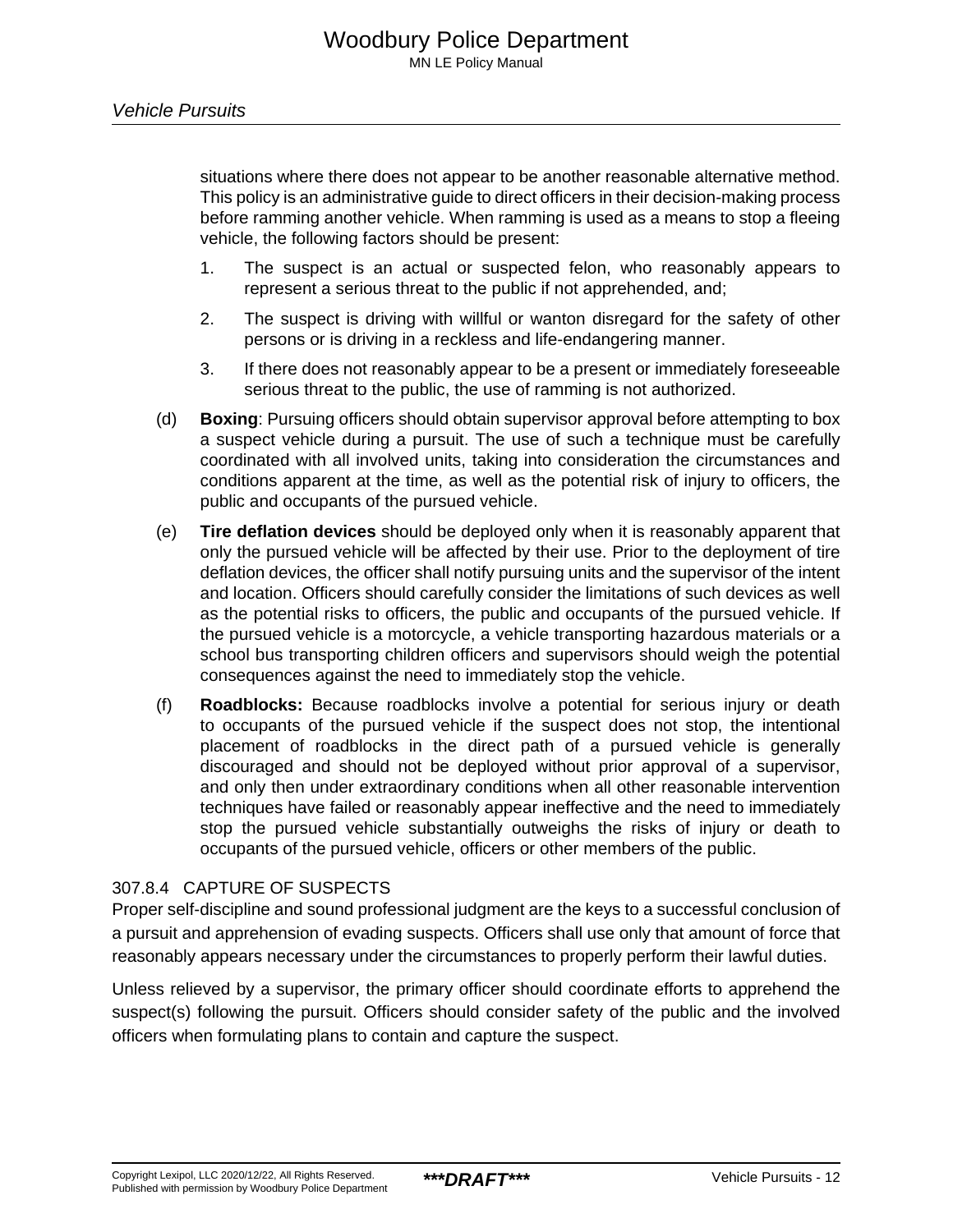situations where there does not appear to be another reasonable alternative method. This policy is an administrative guide to direct officers in their decision-making process before ramming another vehicle. When ramming is used as a means to stop a fleeing vehicle, the following factors should be present:

- 1. The suspect is an actual or suspected felon, who reasonably appears to represent a serious threat to the public if not apprehended, and;
- 2. The suspect is driving with willful or wanton disregard for the safety of other persons or is driving in a reckless and life-endangering manner.
- 3. If there does not reasonably appear to be a present or immediately foreseeable serious threat to the public, the use of ramming is not authorized.
- (d) **Boxing**: Pursuing officers should obtain supervisor approval before attempting to box a suspect vehicle during a pursuit. The use of such a technique must be carefully coordinated with all involved units, taking into consideration the circumstances and conditions apparent at the time, as well as the potential risk of injury to officers, the public and occupants of the pursued vehicle.
- (e) **Tire deflation devices** should be deployed only when it is reasonably apparent that only the pursued vehicle will be affected by their use. Prior to the deployment of tire deflation devices, the officer shall notify pursuing units and the supervisor of the intent and location. Officers should carefully consider the limitations of such devices as well as the potential risks to officers, the public and occupants of the pursued vehicle. If the pursued vehicle is a motorcycle, a vehicle transporting hazardous materials or a school bus transporting children officers and supervisors should weigh the potential consequences against the need to immediately stop the vehicle.
- (f) **Roadblocks:** Because roadblocks involve a potential for serious injury or death to occupants of the pursued vehicle if the suspect does not stop, the intentional placement of roadblocks in the direct path of a pursued vehicle is generally discouraged and should not be deployed without prior approval of a supervisor, and only then under extraordinary conditions when all other reasonable intervention techniques have failed or reasonably appear ineffective and the need to immediately stop the pursued vehicle substantially outweighs the risks of injury or death to occupants of the pursued vehicle, officers or other members of the public.

## 307.8.4 CAPTURE OF SUSPECTS

Proper self-discipline and sound professional judgment are the keys to a successful conclusion of a pursuit and apprehension of evading suspects. Officers shall use only that amount of force that reasonably appears necessary under the circumstances to properly perform their lawful duties.

Unless relieved by a supervisor, the primary officer should coordinate efforts to apprehend the suspect(s) following the pursuit. Officers should consider safety of the public and the involved officers when formulating plans to contain and capture the suspect.